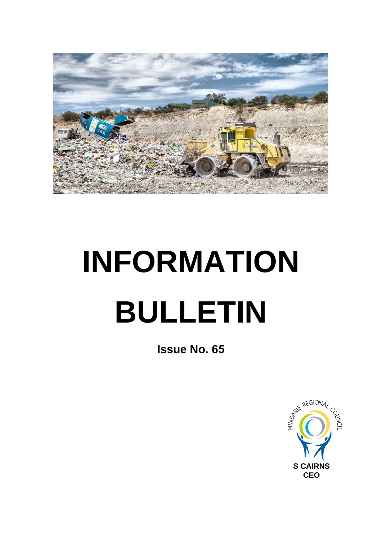

## **INFORMATION BULLETIN**

**Issue No. 65**

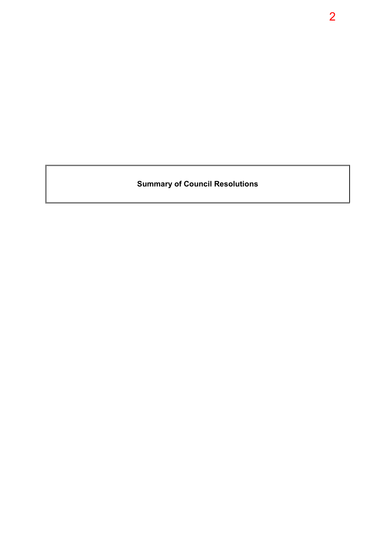**Summary of Council Resolutions**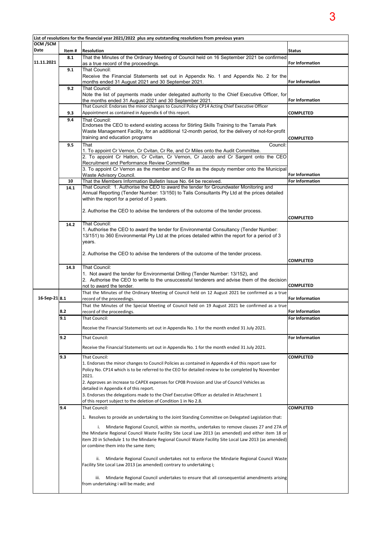| List of resolutions for the financial year 2021/2022 plus any outstanding resolutions from previous years |        |                                                                                                                                                                                                    |                        |  |  |  |  |
|-----------------------------------------------------------------------------------------------------------|--------|----------------------------------------------------------------------------------------------------------------------------------------------------------------------------------------------------|------------------------|--|--|--|--|
| OCM /SCM<br>Date                                                                                          | Item # | <b>Resolution</b>                                                                                                                                                                                  | <b>Status</b>          |  |  |  |  |
|                                                                                                           | 8.1    | That the Minutes of the Ordinary Meeting of Council held on 16 September 2021 be confirmed                                                                                                         |                        |  |  |  |  |
| 11.11.2021                                                                                                |        | as a true record of the proceedings.                                                                                                                                                               | <b>For Information</b> |  |  |  |  |
|                                                                                                           | 9.1    | That Council:                                                                                                                                                                                      |                        |  |  |  |  |
|                                                                                                           |        | Receive the Financial Statements set out in Appendix No. 1 and Appendix No. 2 for the                                                                                                              |                        |  |  |  |  |
|                                                                                                           | 9.2    | months ended 31 August 2021 and 30 September 2021.<br>That Council:                                                                                                                                | <b>For Information</b> |  |  |  |  |
|                                                                                                           |        | Note the list of payments made under delegated authority to the Chief Executive Officer, for                                                                                                       |                        |  |  |  |  |
|                                                                                                           |        | the months ended 31 August 2021 and 30 September 2021.                                                                                                                                             | For Information        |  |  |  |  |
|                                                                                                           |        | That Council: Endorses the minor changes to Council Policy CP14 Acting Chief Executive Officer                                                                                                     |                        |  |  |  |  |
|                                                                                                           | 9.3    | Appointment as contained in Appendix 6 of this report.                                                                                                                                             | <b>COMPLETED</b>       |  |  |  |  |
|                                                                                                           | 9.4    | That Council:                                                                                                                                                                                      |                        |  |  |  |  |
|                                                                                                           |        | Endorses the CEO to extend existing access for Stirling Skills Training to the Tamala Park<br>Waste Management Facility, for an additional 12-month period, for the delivery of not-for-profit     |                        |  |  |  |  |
|                                                                                                           |        | training and education programs                                                                                                                                                                    | <b>COMPLETED</b>       |  |  |  |  |
|                                                                                                           | 9.5    | That<br>Council:                                                                                                                                                                                   |                        |  |  |  |  |
|                                                                                                           |        | 1. To appoint Cr Vernon, Cr Cvitan, Cr Re, and Cr Miles onto the Audit Committee.                                                                                                                  |                        |  |  |  |  |
|                                                                                                           |        | 2. To appoint Cr Hatton, Cr Cvitan, Cr Vernon, Cr Jacob and Cr Sargent onto the CEO<br>Recruitment and Performance Review Committee                                                                |                        |  |  |  |  |
|                                                                                                           |        | 3. To appoint Cr Vernon as the member and Cr Re as the deputy member onto the Municipal                                                                                                            |                        |  |  |  |  |
|                                                                                                           |        | Waste Advisory Council.                                                                                                                                                                            | <b>For Information</b> |  |  |  |  |
|                                                                                                           | 10     | That the Members Information Bulletin Issue No. 64 be received.                                                                                                                                    | <b>For Information</b> |  |  |  |  |
|                                                                                                           | 14.1   | That Council: 1. Authorise the CEO to award the tender for Groundwater Monitoring and                                                                                                              |                        |  |  |  |  |
|                                                                                                           |        | Annual Reporting (Tender Number: 13/150) to Talis Consultants Pty Ltd at the prices detailed<br>within the report for a period of 3 years.                                                         |                        |  |  |  |  |
|                                                                                                           |        |                                                                                                                                                                                                    |                        |  |  |  |  |
|                                                                                                           |        | 2. Authorise the CEO to advise the tenderers of the outcome of the tender process.                                                                                                                 |                        |  |  |  |  |
|                                                                                                           |        |                                                                                                                                                                                                    | <b>COMPLETED</b>       |  |  |  |  |
|                                                                                                           | 14.2   | That Council:                                                                                                                                                                                      |                        |  |  |  |  |
|                                                                                                           |        | 1. Authorise the CEO to award the tender for Environmental Consultancy (Tender Number:<br>13/151) to 360 Environmental Pty Ltd at the prices detailed within the report for a period of 3          |                        |  |  |  |  |
|                                                                                                           |        | years.                                                                                                                                                                                             |                        |  |  |  |  |
|                                                                                                           |        |                                                                                                                                                                                                    |                        |  |  |  |  |
|                                                                                                           |        | 2. Authorise the CEO to advise the tenderers of the outcome of the tender process.                                                                                                                 |                        |  |  |  |  |
|                                                                                                           |        |                                                                                                                                                                                                    | <b>COMPLETED</b>       |  |  |  |  |
|                                                                                                           | 14.3   | That Council:                                                                                                                                                                                      |                        |  |  |  |  |
|                                                                                                           |        | 1. Not award the tender for Environmental Drilling (Tender Number: 13/152), and<br>2. Authorise the CEO to write to the unsuccessful tenderers and advise them of the decision                     |                        |  |  |  |  |
|                                                                                                           |        | not to award the tender.                                                                                                                                                                           | <b>COMPLETED</b>       |  |  |  |  |
|                                                                                                           |        | That the Minutes of the Ordinary Meeting of Council held on 12 August 2021 be confirmed as a true                                                                                                  |                        |  |  |  |  |
| 16-Sep-21 8.1                                                                                             |        | record of the proceedings.                                                                                                                                                                         | <b>For Information</b> |  |  |  |  |
|                                                                                                           |        | That the Minutes of the Special Meeting of Council held on 19 August 2021 be confirmed as a true                                                                                                   |                        |  |  |  |  |
|                                                                                                           | 8.2    | record of the proceedings.                                                                                                                                                                         | <b>For Information</b> |  |  |  |  |
|                                                                                                           | 9.1    | <b>That Council:</b>                                                                                                                                                                               | <b>For Information</b> |  |  |  |  |
|                                                                                                           |        | Receive the Financial Statements set out in Appendix No. 1 for the month ended 31 July 2021.                                                                                                       |                        |  |  |  |  |
|                                                                                                           | 9.2    | <b>That Council:</b>                                                                                                                                                                               | For Information        |  |  |  |  |
|                                                                                                           |        |                                                                                                                                                                                                    |                        |  |  |  |  |
|                                                                                                           |        | Receive the Financial Statements set out in Appendix No. 1 for the month ended 31 July 2021.                                                                                                       |                        |  |  |  |  |
|                                                                                                           | 9.3    | That Council:                                                                                                                                                                                      | <b>COMPLETED</b>       |  |  |  |  |
|                                                                                                           |        | 1. Endorses the minor changes to Council Policies as contained in Appendix 4 of this report save for                                                                                               |                        |  |  |  |  |
|                                                                                                           |        | Policy No. CP14 which is to be referred to the CEO for detailed review to be completed by November<br>2021.                                                                                        |                        |  |  |  |  |
|                                                                                                           |        | 2. Approves an increase to CAPEX expenses for CP08 Provision and Use of Council Vehicles as                                                                                                        |                        |  |  |  |  |
|                                                                                                           |        | detailed in Appendix 4 of this report.                                                                                                                                                             |                        |  |  |  |  |
|                                                                                                           |        | 3. Endorses the delegations made to the Chief Executive Officer as detailed in Attachment 1                                                                                                        |                        |  |  |  |  |
|                                                                                                           |        | of this report subject to the deletion of Condition 1 in No 2.8.                                                                                                                                   |                        |  |  |  |  |
|                                                                                                           | 9.4    | That Council:                                                                                                                                                                                      | <b>COMPLETED</b>       |  |  |  |  |
|                                                                                                           |        | 1. Resolves to provide an undertaking to the Joint Standing Committee on Delegated Legislation that:                                                                                               |                        |  |  |  |  |
|                                                                                                           |        |                                                                                                                                                                                                    |                        |  |  |  |  |
|                                                                                                           |        | i. Mindarie Regional Council, within six months, undertakes to remove clauses 27 and 27A of<br>the Mindarie Regional Council Waste Facility Site Local Law 2013 (as amended) and either item 18 or |                        |  |  |  |  |
|                                                                                                           |        | item 20 in Schedule 1 to the Mindarie Regional Council Waste Facility Site Local Law 2013 (as amended)                                                                                             |                        |  |  |  |  |
|                                                                                                           |        | or combine them into the same item;                                                                                                                                                                |                        |  |  |  |  |
|                                                                                                           |        |                                                                                                                                                                                                    |                        |  |  |  |  |
|                                                                                                           |        | ii. Mindarie Regional Council undertakes not to enforce the Mindarie Regional Council Waste                                                                                                        |                        |  |  |  |  |
|                                                                                                           |        | Facility Site Local Law 2013 (as amended) contrary to undertaking i;                                                                                                                               |                        |  |  |  |  |
|                                                                                                           |        | iii. Mindarie Regional Council undertakes to ensure that all consequential amendments arising                                                                                                      |                        |  |  |  |  |
|                                                                                                           |        | from undertaking i will be made; and                                                                                                                                                               |                        |  |  |  |  |
|                                                                                                           |        |                                                                                                                                                                                                    |                        |  |  |  |  |
|                                                                                                           |        |                                                                                                                                                                                                    |                        |  |  |  |  |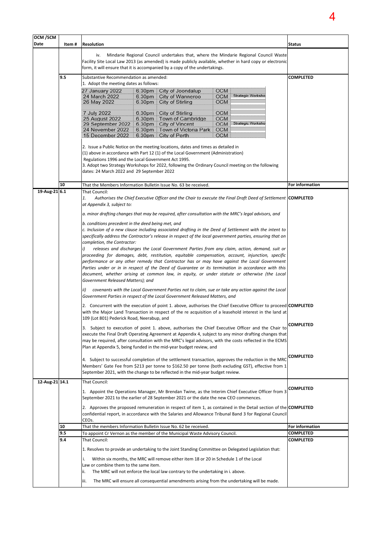| OCM /SCM<br>Date | Item#                                                                                                                                                                                                                                                                                 | <b>Resolution</b>                                                                                                                                                                                                                                                                                                                                                                                                                                                                                                                                                                                                                                                                                                                                                                                                                                                                                                                                                                                                                                                                                                                                                                                                                                                                                                                                                                                                                                                                                                                                                                                                                                                                                                                                                                                                                                                                                                                                                                                                                                                                                                                                                                                                                      |                                                                        |                                                                                                                                                                                                                                                                                                                                                                                  |                                                             |                   | Status           |
|------------------|---------------------------------------------------------------------------------------------------------------------------------------------------------------------------------------------------------------------------------------------------------------------------------------|----------------------------------------------------------------------------------------------------------------------------------------------------------------------------------------------------------------------------------------------------------------------------------------------------------------------------------------------------------------------------------------------------------------------------------------------------------------------------------------------------------------------------------------------------------------------------------------------------------------------------------------------------------------------------------------------------------------------------------------------------------------------------------------------------------------------------------------------------------------------------------------------------------------------------------------------------------------------------------------------------------------------------------------------------------------------------------------------------------------------------------------------------------------------------------------------------------------------------------------------------------------------------------------------------------------------------------------------------------------------------------------------------------------------------------------------------------------------------------------------------------------------------------------------------------------------------------------------------------------------------------------------------------------------------------------------------------------------------------------------------------------------------------------------------------------------------------------------------------------------------------------------------------------------------------------------------------------------------------------------------------------------------------------------------------------------------------------------------------------------------------------------------------------------------------------------------------------------------------------|------------------------------------------------------------------------|----------------------------------------------------------------------------------------------------------------------------------------------------------------------------------------------------------------------------------------------------------------------------------------------------------------------------------------------------------------------------------|-------------------------------------------------------------|-------------------|------------------|
|                  | Mindarie Regional Council undertakes that, where the Mindarie Regional Council Waste<br>iv.<br>Facility Site Local Law 2013 (as amended) is made publicly available, whether in hard copy or electronic<br>form, it will ensure that it is accompanied by a copy of the undertakings. |                                                                                                                                                                                                                                                                                                                                                                                                                                                                                                                                                                                                                                                                                                                                                                                                                                                                                                                                                                                                                                                                                                                                                                                                                                                                                                                                                                                                                                                                                                                                                                                                                                                                                                                                                                                                                                                                                                                                                                                                                                                                                                                                                                                                                                        |                                                                        |                                                                                                                                                                                                                                                                                                                                                                                  |                                                             |                   |                  |
|                  | 9.5                                                                                                                                                                                                                                                                                   | Substantive Recommendation as amended:                                                                                                                                                                                                                                                                                                                                                                                                                                                                                                                                                                                                                                                                                                                                                                                                                                                                                                                                                                                                                                                                                                                                                                                                                                                                                                                                                                                                                                                                                                                                                                                                                                                                                                                                                                                                                                                                                                                                                                                                                                                                                                                                                                                                 |                                                                        | <b>COMPLETED</b>                                                                                                                                                                                                                                                                                                                                                                 |                                                             |                   |                  |
|                  |                                                                                                                                                                                                                                                                                       | 1. Adopt the meeting dates as follows:                                                                                                                                                                                                                                                                                                                                                                                                                                                                                                                                                                                                                                                                                                                                                                                                                                                                                                                                                                                                                                                                                                                                                                                                                                                                                                                                                                                                                                                                                                                                                                                                                                                                                                                                                                                                                                                                                                                                                                                                                                                                                                                                                                                                 |                                                                        |                                                                                                                                                                                                                                                                                                                                                                                  |                                                             |                   |                  |
|                  |                                                                                                                                                                                                                                                                                       | 27 January 2022<br>24 March 2022<br>26 May 2022                                                                                                                                                                                                                                                                                                                                                                                                                                                                                                                                                                                                                                                                                                                                                                                                                                                                                                                                                                                                                                                                                                                                                                                                                                                                                                                                                                                                                                                                                                                                                                                                                                                                                                                                                                                                                                                                                                                                                                                                                                                                                                                                                                                        | 6.30 <sub>pm</sub><br>6.30 <sub>pm</sub>                               | 6.30pm City of Joondalup<br>City of Wanneroo<br>City of Stirling                                                                                                                                                                                                                                                                                                                 | OCM<br>OCM<br>ОСМ                                           | Strategic Worksho |                  |
|                  |                                                                                                                                                                                                                                                                                       | 7 July 2022<br>25 August 2022<br>29 September 2022  <br>24 November 2022<br>15 December 2022                                                                                                                                                                                                                                                                                                                                                                                                                                                                                                                                                                                                                                                                                                                                                                                                                                                                                                                                                                                                                                                                                                                                                                                                                                                                                                                                                                                                                                                                                                                                                                                                                                                                                                                                                                                                                                                                                                                                                                                                                                                                                                                                           | 6.30 <sub>pm</sub><br>6.30 <sub>pm</sub><br>$6.30 \text{pm}$<br>6.30pm | City of Stirling<br>Town of Cambridge<br>City of Vincent<br>Town of Victoria Park<br>6.30pm   City of Perth                                                                                                                                                                                                                                                                      | <b>OCM</b><br><b>OCM</b><br>OCM<br><b>OCM</b><br><b>OCM</b> | Strategic Worksho |                  |
|                  |                                                                                                                                                                                                                                                                                       | Regulations 1996 and the Local Government Act 1995.<br>dates: 24 March 2022 and 29 September 2022                                                                                                                                                                                                                                                                                                                                                                                                                                                                                                                                                                                                                                                                                                                                                                                                                                                                                                                                                                                                                                                                                                                                                                                                                                                                                                                                                                                                                                                                                                                                                                                                                                                                                                                                                                                                                                                                                                                                                                                                                                                                                                                                      |                                                                        | 2. Issue a Public Notice on the meeting locations, dates and times as detailed in<br>(1) above in accordance with Part 12 (1) of the Local Government (Administration)<br>3. Adopt two Strategy Workshops for 2022, following the Ordinary Council meeting on the following                                                                                                      |                                                             |                   |                  |
|                  | 10                                                                                                                                                                                                                                                                                    | That the Members Information Bulletin Issue No. 63 be received.                                                                                                                                                                                                                                                                                                                                                                                                                                                                                                                                                                                                                                                                                                                                                                                                                                                                                                                                                                                                                                                                                                                                                                                                                                                                                                                                                                                                                                                                                                                                                                                                                                                                                                                                                                                                                                                                                                                                                                                                                                                                                                                                                                        |                                                                        |                                                                                                                                                                                                                                                                                                                                                                                  |                                                             |                   | For information  |
| 19-Aug-21 6.1    |                                                                                                                                                                                                                                                                                       | That Council:<br>Authorises the Chief Executive Officer and the Chair to execute the Final Draft Deed of Settlement COMPLETED<br>1.<br>at Appendix 3, subject to:<br>a. minor drafting changes that may be required, after consultation with the MRC's legal advisors, and<br>b. conditions precedent in the deed being met, and<br>c. Inclusion of a new clause including associated drafting in the Deed of Settlement with the intent to<br>specifically address the Contractor's release in respect of the local government parties, ensuring that on<br>completion, the Contractor:<br>releases and discharges the Local Government Parties from any claim, action, demand, suit or<br>proceeding for damages, debt, restitution, equitable compensation, account, injunction, specific<br>performance or any other remedy that Contractor has or may have against the Local Government<br>Parties under or in in respect of the Deed of Guarantee or its termination in accordance with this<br>document, whether arising at common law, in equity, or under statute or otherwise (the Local<br>Government Released Matters); and<br>ii)<br>covenants with the Local Government Parties not to claim, sue or take any action against the Local<br>Government Parties in respect of the Local Government Released Matters, and<br>2. Concurrent with the execution of point 1. above, authorises the Chief Executive Officer to proceed <b>COMPLETED</b><br>with the Major Land Transaction in respect of the re acquisition of a leasehold interest in the land at<br>109 (Lot 801) Pederick Road, Neerabup, and<br>3. Subject to execution of point 1. above, authorises the Chief Executive Officer and the Chair to<br>execute the Final Draft Operating Agreement at Appendix 4, subject to any minor drafting changes that<br>may be required, after consultation with the MRC's legal advisors, with the costs reflected in the ECMS<br>Plan at Appendix 5, being funded in the mid-year budget review, and<br>4. Subject to successful completion of the settlement transaction, approves the reduction in the MRC<br>Members' Gate Fee from \$213 per tonne to \$162.50 per tonne (both excluding GST), effective from 1 | <b>COMPLETED</b><br><b>COMPLETED</b>                                   |                                                                                                                                                                                                                                                                                                                                                                                  |                                                             |                   |                  |
|                  |                                                                                                                                                                                                                                                                                       |                                                                                                                                                                                                                                                                                                                                                                                                                                                                                                                                                                                                                                                                                                                                                                                                                                                                                                                                                                                                                                                                                                                                                                                                                                                                                                                                                                                                                                                                                                                                                                                                                                                                                                                                                                                                                                                                                                                                                                                                                                                                                                                                                                                                                                        |                                                                        | September 2021, with the change to be reflected in the mid-year budget review.                                                                                                                                                                                                                                                                                                   |                                                             |                   |                  |
| 12-Aug-21 14.1   |                                                                                                                                                                                                                                                                                       | That Council:                                                                                                                                                                                                                                                                                                                                                                                                                                                                                                                                                                                                                                                                                                                                                                                                                                                                                                                                                                                                                                                                                                                                                                                                                                                                                                                                                                                                                                                                                                                                                                                                                                                                                                                                                                                                                                                                                                                                                                                                                                                                                                                                                                                                                          |                                                                        | 1. Appoint the Operations Manager, Mr Brendan Twine, as the Interim Chief Executive Officer from 3<br>September 2021 to the earlier of 28 September 2021 or the date the new CEO commences.                                                                                                                                                                                      |                                                             |                   | <b>COMPLETED</b> |
|                  |                                                                                                                                                                                                                                                                                       | CEO <sub>s</sub> .                                                                                                                                                                                                                                                                                                                                                                                                                                                                                                                                                                                                                                                                                                                                                                                                                                                                                                                                                                                                                                                                                                                                                                                                                                                                                                                                                                                                                                                                                                                                                                                                                                                                                                                                                                                                                                                                                                                                                                                                                                                                                                                                                                                                                     |                                                                        | 2. Approves the proposed remuneration in respect of item 1, as contained in the Detail section of the COMPLETED<br>confidential report, in accordance with the Salaries and Allowance Tribunal Band 3 for Regional Council                                                                                                                                                       |                                                             |                   |                  |
|                  | 10<br>That the members Information Bulletin Issue No. 62 be received.                                                                                                                                                                                                                 |                                                                                                                                                                                                                                                                                                                                                                                                                                                                                                                                                                                                                                                                                                                                                                                                                                                                                                                                                                                                                                                                                                                                                                                                                                                                                                                                                                                                                                                                                                                                                                                                                                                                                                                                                                                                                                                                                                                                                                                                                                                                                                                                                                                                                                        |                                                                        |                                                                                                                                                                                                                                                                                                                                                                                  |                                                             |                   | For information  |
|                  | 9.5<br>To appoint Cr Vernon as the member of the Municipal Waste Advisory Council.                                                                                                                                                                                                    |                                                                                                                                                                                                                                                                                                                                                                                                                                                                                                                                                                                                                                                                                                                                                                                                                                                                                                                                                                                                                                                                                                                                                                                                                                                                                                                                                                                                                                                                                                                                                                                                                                                                                                                                                                                                                                                                                                                                                                                                                                                                                                                                                                                                                                        |                                                                        |                                                                                                                                                                                                                                                                                                                                                                                  |                                                             |                   | <b>COMPLETED</b> |
|                  | 9.4                                                                                                                                                                                                                                                                                   | That Council:<br>i.<br>Law or combine them to the same item.<br>ii.<br>iii.                                                                                                                                                                                                                                                                                                                                                                                                                                                                                                                                                                                                                                                                                                                                                                                                                                                                                                                                                                                                                                                                                                                                                                                                                                                                                                                                                                                                                                                                                                                                                                                                                                                                                                                                                                                                                                                                                                                                                                                                                                                                                                                                                            |                                                                        | 1. Resolves to provide an undertaking to the Joint Standing Committee on Delegated Legislation that:<br>Within six months, the MRC will remove either item 18 or 20 in Schedule 1 of the Local<br>The MRC will not enforce the local law contrary to the undertaking in i. above.<br>The MRC will ensure all consequential amendments arising from the undertaking will be made. |                                                             |                   | <b>COMPLETED</b> |